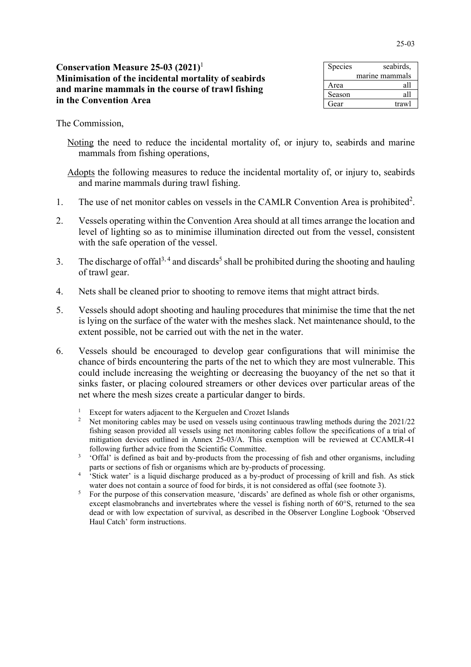## **Conservation Measure 25-03 (2021)** 1 **Minimisation of the incidental mortality of seabirds and marine mammals in the course of trawl fishing in the Convention Area**

| Species | seabirds,      |
|---------|----------------|
|         | marine mammals |
| Area    | all            |
| Season  | all            |
| Gear    | trawl          |

The Commission,

Noting the need to reduce the incidental mortality of, or injury to, seabirds and marine mammals from fishing operations,

Adopts the following measures to reduce the incidental mortality of, or injury to, seabirds and marine mammals during trawl fishing.

- 1. The use of net monitor cables on vessels in the CAMLR Convention Area is prohibited<sup>2</sup>.
- 2. Vessels operating within the Convention Area should at all times arrange the location and level of lighting so as to minimise illumination directed out from the vessel, consistent with the safe operation of the vessel.
- 3. The discharge of offal<sup>3, 4</sup> and discards<sup>5</sup> shall be prohibited during the shooting and hauling of trawl gear.
- 4. Nets shall be cleaned prior to shooting to remove items that might attract birds.
- 5. Vessels should adopt shooting and hauling procedures that minimise the time that the net is lying on the surface of the water with the meshes slack. Net maintenance should, to the extent possible, not be carried out with the net in the water.
- 6. Vessels should be encouraged to develop gear configurations that will minimise the chance of birds encountering the parts of the net to which they are most vulnerable. This could include increasing the weighting or decreasing the buoyancy of the net so that it sinks faster, or placing coloured streamers or other devices over particular areas of the net where the mesh sizes create a particular danger to birds.
	- <sup>1</sup> Except for waters adjacent to the Kerguelen and Crozet Islands
	- <sup>2</sup> Net monitoring cables may be used on vessels using continuous trawling methods during the  $2021/22$ fishing season provided all vessels using net monitoring cables follow the specifications of a trial of mitigation devices outlined in Annex 25-03/A. This exemption will be reviewed at CCAMLR-41 following further advice from the Scientific Committee.
	- <sup>3</sup> 'Offal' is defined as bait and by-products from the processing of fish and other organisms, including parts or sections of fish or organisms which are by-products of processing.
	- <sup>4</sup> 'Stick water' is a liquid discharge produced as a by-product of processing of krill and fish. As stick water does not contain a source of food for birds, it is not considered as offal (see footnote 3).
	- <sup>5</sup> For the purpose of this conservation measure, 'discards' are defined as whole fish or other organisms, except elasmobranchs and invertebrates where the vessel is fishing north of 60°S, returned to the sea dead or with low expectation of survival, as described in the Observer Longline Logbook 'Observed Haul Catch' form instructions.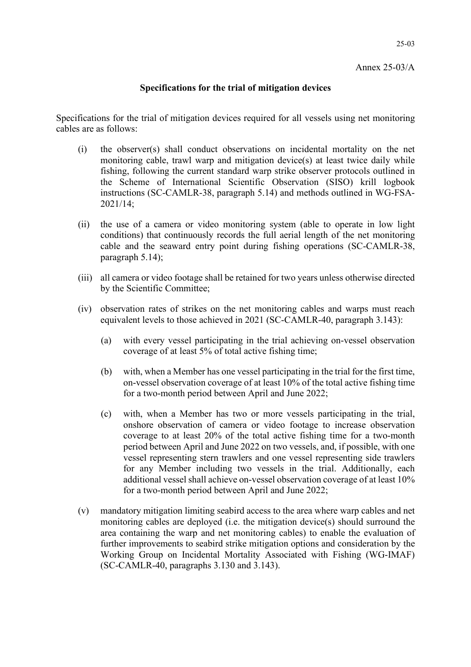25-03

## **Specifications for the trial of mitigation devices**

Specifications for the trial of mitigation devices required for all vessels using net monitoring cables are as follows:

- (i) the observer(s) shall conduct observations on incidental mortality on the net monitoring cable, trawl warp and mitigation device(s) at least twice daily while fishing, following the current standard warp strike observer protocols outlined in the Scheme of International Scientific Observation (SISO) krill logbook instructions (SC-CAMLR-38, paragraph 5.14) and methods outlined in WG-FSA-2021/14;
- (ii) the use of a camera or video monitoring system (able to operate in low light conditions) that continuously records the full aerial length of the net monitoring cable and the seaward entry point during fishing operations (SC-CAMLR-38, paragraph 5.14);
- (iii) all camera or video footage shall be retained for two years unless otherwise directed by the Scientific Committee;
- (iv) observation rates of strikes on the net monitoring cables and warps must reach equivalent levels to those achieved in 2021 (SC-CAMLR-40, paragraph 3.143):
	- (a) with every vessel participating in the trial achieving on-vessel observation coverage of at least 5% of total active fishing time;
	- (b) with, when a Member has one vessel participating in the trial for the first time, on-vessel observation coverage of at least 10% of the total active fishing time for a two-month period between April and June 2022;
	- (c) with, when a Member has two or more vessels participating in the trial, onshore observation of camera or video footage to increase observation coverage to at least 20% of the total active fishing time for a two-month period between April and June 2022 on two vessels, and, if possible, with one vessel representing stern trawlers and one vessel representing side trawlers for any Member including two vessels in the trial. Additionally, each additional vessel shall achieve on-vessel observation coverage of at least 10% for a two-month period between April and June 2022;
- (v) mandatory mitigation limiting seabird access to the area where warp cables and net monitoring cables are deployed (i.e. the mitigation device(s) should surround the area containing the warp and net monitoring cables) to enable the evaluation of further improvements to seabird strike mitigation options and consideration by the Working Group on Incidental Mortality Associated with Fishing (WG-IMAF) (SC-CAMLR-40, paragraphs 3.130 and 3.143).